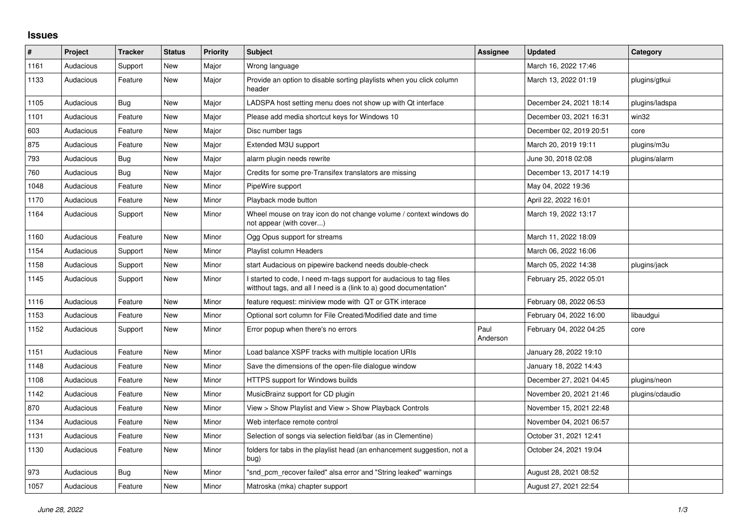## **Issues**

| #    | Project   | <b>Tracker</b> | <b>Status</b> | <b>Priority</b> | <b>Subject</b>                                                                                                                            | Assignee         | <b>Updated</b>          | Category        |
|------|-----------|----------------|---------------|-----------------|-------------------------------------------------------------------------------------------------------------------------------------------|------------------|-------------------------|-----------------|
| 1161 | Audacious | Support        | <b>New</b>    | Major           | Wrong language                                                                                                                            |                  | March 16, 2022 17:46    |                 |
| 1133 | Audacious | Feature        | New           | Major           | Provide an option to disable sorting playlists when you click column<br>header                                                            |                  | March 13, 2022 01:19    | plugins/gtkui   |
| 1105 | Audacious | Bug            | <b>New</b>    | Major           | LADSPA host setting menu does not show up with Qt interface                                                                               |                  | December 24, 2021 18:14 | plugins/ladspa  |
| 1101 | Audacious | Feature        | New           | Major           | Please add media shortcut keys for Windows 10                                                                                             |                  | December 03, 2021 16:31 | win32           |
| 603  | Audacious | Feature        | New           | Major           | Disc number tags                                                                                                                          |                  | December 02, 2019 20:51 | core            |
| 875  | Audacious | Feature        | <b>New</b>    | Major           | Extended M3U support                                                                                                                      |                  | March 20, 2019 19:11    | plugins/m3u     |
| 793  | Audacious | <b>Bug</b>     | New           | Major           | alarm plugin needs rewrite                                                                                                                |                  | June 30, 2018 02:08     | plugins/alarm   |
| 760  | Audacious | Bug            | <b>New</b>    | Major           | Credits for some pre-Transifex translators are missing                                                                                    |                  | December 13, 2017 14:19 |                 |
| 1048 | Audacious | Feature        | <b>New</b>    | Minor           | PipeWire support                                                                                                                          |                  | May 04, 2022 19:36      |                 |
| 1170 | Audacious | Feature        | New           | Minor           | Playback mode button                                                                                                                      |                  | April 22, 2022 16:01    |                 |
| 1164 | Audacious | Support        | New           | Minor           | Wheel mouse on tray icon do not change volume / context windows do<br>not appear (with cover)                                             |                  | March 19, 2022 13:17    |                 |
| 1160 | Audacious | Feature        | New           | Minor           | Ogg Opus support for streams                                                                                                              |                  | March 11, 2022 18:09    |                 |
| 1154 | Audacious | Support        | New           | Minor           | Playlist column Headers                                                                                                                   |                  | March 06, 2022 16:06    |                 |
| 1158 | Audacious | Support        | <b>New</b>    | Minor           | start Audacious on pipewire backend needs double-check                                                                                    |                  | March 05, 2022 14:38    | plugins/jack    |
| 1145 | Audacious | Support        | New           | Minor           | I started to code, I need m-tags support for audacious to tag files<br>witthout tags, and all I need is a (link to a) good documentation* |                  | February 25, 2022 05:01 |                 |
| 1116 | Audacious | Feature        | New           | Minor           | feature request: miniview mode with QT or GTK interace                                                                                    |                  | February 08, 2022 06:53 |                 |
| 1153 | Audacious | Feature        | New           | Minor           | Optional sort column for File Created/Modified date and time                                                                              |                  | February 04, 2022 16:00 | libaudgui       |
| 1152 | Audacious | Support        | New           | Minor           | Error popup when there's no errors                                                                                                        | Paul<br>Anderson | February 04, 2022 04:25 | core            |
| 1151 | Audacious | Feature        | <b>New</b>    | Minor           | Load balance XSPF tracks with multiple location URIs                                                                                      |                  | January 28, 2022 19:10  |                 |
| 1148 | Audacious | Feature        | New           | Minor           | Save the dimensions of the open-file dialogue window                                                                                      |                  | January 18, 2022 14:43  |                 |
| 1108 | Audacious | Feature        | <b>New</b>    | Minor           | HTTPS support for Windows builds                                                                                                          |                  | December 27, 2021 04:45 | plugins/neon    |
| 1142 | Audacious | Feature        | <b>New</b>    | Minor           | MusicBrainz support for CD plugin                                                                                                         |                  | November 20, 2021 21:46 | plugins/cdaudio |
| 870  | Audacious | Feature        | New           | Minor           | View > Show Playlist and View > Show Playback Controls                                                                                    |                  | November 15, 2021 22:48 |                 |
| 1134 | Audacious | Feature        | New           | Minor           | Web interface remote control                                                                                                              |                  | November 04, 2021 06:57 |                 |
| 1131 | Audacious | Feature        | New           | Minor           | Selection of songs via selection field/bar (as in Clementine)                                                                             |                  | October 31, 2021 12:41  |                 |
| 1130 | Audacious | Feature        | <b>New</b>    | Minor           | folders for tabs in the playlist head (an enhancement suggestion, not a<br>bug)                                                           |                  | October 24, 2021 19:04  |                 |
| 973  | Audacious | <b>Bug</b>     | New           | Minor           | "snd_pcm_recover failed" alsa error and "String leaked" warnings                                                                          |                  | August 28, 2021 08:52   |                 |
| 1057 | Audacious | Feature        | <b>New</b>    | Minor           | Matroska (mka) chapter support                                                                                                            |                  | August 27, 2021 22:54   |                 |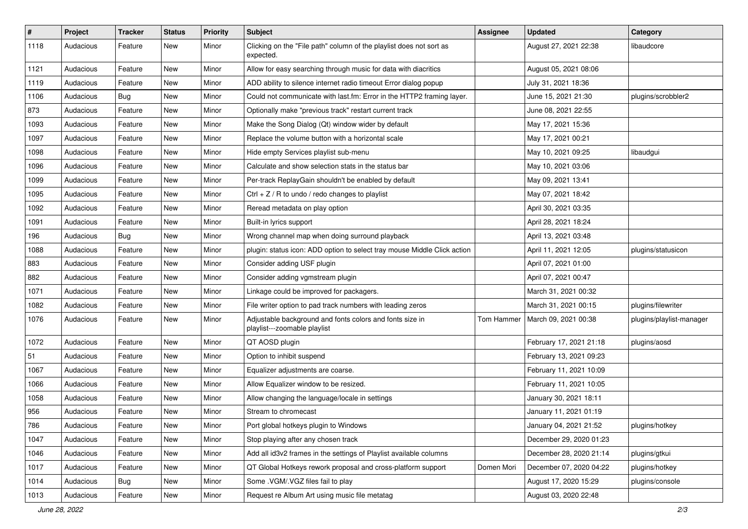| $\#$ | Project   | <b>Tracker</b> | <b>Status</b> | <b>Priority</b> | Subject                                                                                  | <b>Assignee</b> | <b>Updated</b>          | Category                 |
|------|-----------|----------------|---------------|-----------------|------------------------------------------------------------------------------------------|-----------------|-------------------------|--------------------------|
| 1118 | Audacious | Feature        | New           | Minor           | Clicking on the "File path" column of the playlist does not sort as<br>expected.         |                 | August 27, 2021 22:38   | libaudcore               |
| 1121 | Audacious | Feature        | New           | Minor           | Allow for easy searching through music for data with diacritics                          |                 | August 05, 2021 08:06   |                          |
| 1119 | Audacious | Feature        | New           | Minor           | ADD ability to silence internet radio timeout Error dialog popup                         |                 | July 31, 2021 18:36     |                          |
| 1106 | Audacious | Bug            | New           | Minor           | Could not communicate with last.fm: Error in the HTTP2 framing layer.                    |                 | June 15, 2021 21:30     | plugins/scrobbler2       |
| 873  | Audacious | Feature        | New           | Minor           | Optionally make "previous track" restart current track                                   |                 | June 08, 2021 22:55     |                          |
| 1093 | Audacious | Feature        | New           | Minor           | Make the Song Dialog (Qt) window wider by default                                        |                 | May 17, 2021 15:36      |                          |
| 1097 | Audacious | Feature        | New           | Minor           | Replace the volume button with a horizontal scale                                        |                 | May 17, 2021 00:21      |                          |
| 1098 | Audacious | Feature        | New           | Minor           | Hide empty Services playlist sub-menu                                                    |                 | May 10, 2021 09:25      | libaudgui                |
| 1096 | Audacious | Feature        | New           | Minor           | Calculate and show selection stats in the status bar                                     |                 | May 10, 2021 03:06      |                          |
| 1099 | Audacious | Feature        | New           | Minor           | Per-track ReplayGain shouldn't be enabled by default                                     |                 | May 09, 2021 13:41      |                          |
| 1095 | Audacious | Feature        | New           | Minor           | Ctrl + $Z$ / R to undo / redo changes to playlist                                        |                 | May 07, 2021 18:42      |                          |
| 1092 | Audacious | Feature        | New           | Minor           | Reread metadata on play option                                                           |                 | April 30, 2021 03:35    |                          |
| 1091 | Audacious | Feature        | New           | Minor           | Built-in lyrics support                                                                  |                 | April 28, 2021 18:24    |                          |
| 196  | Audacious | <b>Bug</b>     | New           | Minor           | Wrong channel map when doing surround playback                                           |                 | April 13, 2021 03:48    |                          |
| 1088 | Audacious | Feature        | New           | Minor           | plugin: status icon: ADD option to select tray mouse Middle Click action                 |                 | April 11, 2021 12:05    | plugins/statusicon       |
| 883  | Audacious | Feature        | New           | Minor           | Consider adding USF plugin                                                               |                 | April 07, 2021 01:00    |                          |
| 882  | Audacious | Feature        | New           | Minor           | Consider adding vgmstream plugin                                                         |                 | April 07, 2021 00:47    |                          |
| 1071 | Audacious | Feature        | New           | Minor           | Linkage could be improved for packagers.                                                 |                 | March 31, 2021 00:32    |                          |
| 1082 | Audacious | Feature        | New           | Minor           | File writer option to pad track numbers with leading zeros                               |                 | March 31, 2021 00:15    | plugins/filewriter       |
| 1076 | Audacious | Feature        | New           | Minor           | Adjustable background and fonts colors and fonts size in<br>playlist---zoomable playlist | Tom Hammer      | March 09, 2021 00:38    | plugins/playlist-manager |
| 1072 | Audacious | Feature        | New           | Minor           | QT AOSD plugin                                                                           |                 | February 17, 2021 21:18 | plugins/aosd             |
| 51   | Audacious | Feature        | New           | Minor           | Option to inhibit suspend                                                                |                 | February 13, 2021 09:23 |                          |
| 1067 | Audacious | Feature        | New           | Minor           | Equalizer adjustments are coarse.                                                        |                 | February 11, 2021 10:09 |                          |
| 1066 | Audacious | Feature        | New           | Minor           | Allow Equalizer window to be resized.                                                    |                 | February 11, 2021 10:05 |                          |
| 1058 | Audacious | Feature        | New           | Minor           | Allow changing the language/locale in settings                                           |                 | January 30, 2021 18:11  |                          |
| 956  | Audacious | Feature        | New           | Minor           | Stream to chromecast                                                                     |                 | January 11, 2021 01:19  |                          |
| 786  | Audacious | Feature        | New           | Minor           | Port global hotkeys plugin to Windows                                                    |                 | January 04, 2021 21:52  | plugins/hotkey           |
| 1047 | Audacious | Feature        | New           | Minor           | Stop playing after any chosen track                                                      |                 | December 29, 2020 01:23 |                          |
| 1046 | Audacious | Feature        | New           | Minor           | Add all id3v2 frames in the settings of Playlist available columns                       |                 | December 28, 2020 21:14 | plugins/gtkui            |
| 1017 | Audacious | Feature        | New           | Minor           | QT Global Hotkeys rework proposal and cross-platform support                             | Domen Mori      | December 07, 2020 04:22 | plugins/hotkey           |
| 1014 | Audacious | <b>Bug</b>     | New           | Minor           | Some .VGM/.VGZ files fail to play                                                        |                 | August 17, 2020 15:29   | plugins/console          |
| 1013 | Audacious | Feature        | New           | Minor           | Request re Album Art using music file metatag                                            |                 | August 03, 2020 22:48   |                          |